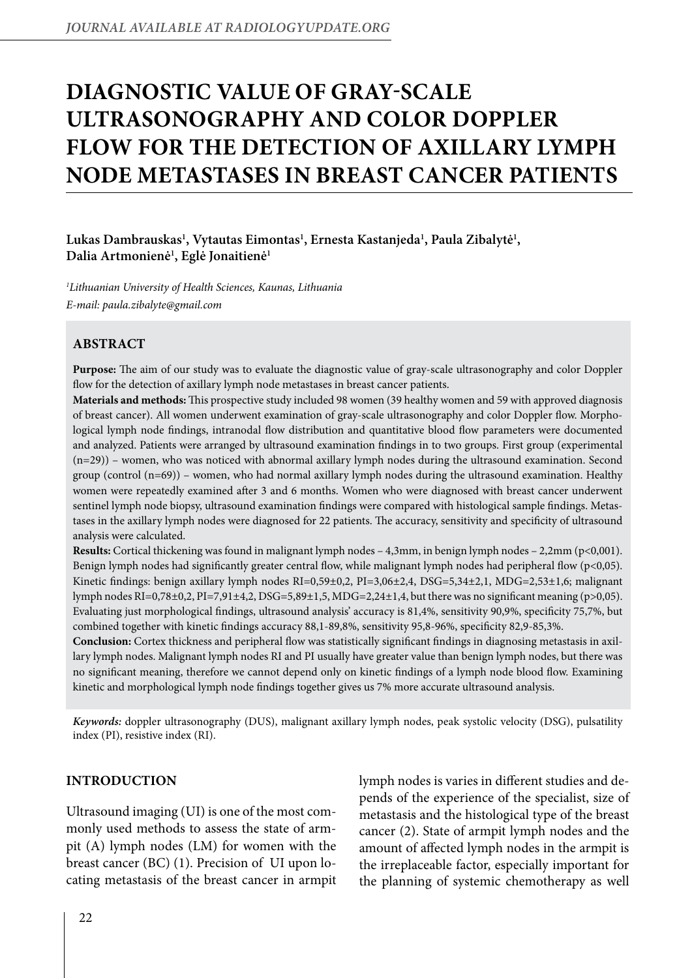# **Diagnostic value of gray-scale ultrasonography and color Doppler flow for the detection of axillary lymph node metastases in breast cancer patients**

Lukas Dambrauskas<sup>1</sup>, Vytautas Eimontas<sup>1</sup>, Ernesta Kastanjeda<sup>1</sup>, Paula Zibalytė<sup>1</sup>, **Dalia Artmonienė1 , Eglė Jonaitienė1**

*1 Lithuanian University of Health Sciences, Kaunas, Lithuania E-mail: paula.zibalyte@gmail.com*

# **Abstract**

**Purpose:** The aim of our study was to evaluate the diagnostic value of gray-scale ultrasonography and color Doppler flow for the detection of axillary lymph node metastases in breast cancer patients.

**Materials and methods:** This prospective study included 98 women (39 healthy women and 59 with approved diagnosis of breast cancer). All women underwent examination of gray-scale ultrasonography and color Doppler flow. Morphological lymph node findings, intranodal flow distribution and quantitative blood flow parameters were documented and analyzed. Patients were arranged by ultrasound examination findings in to two groups. First group (experimental (n=29)) – women, who was noticed with abnormal axillary lymph nodes during the ultrasound examination. Second group (control (n=69)) – women, who had normal axillary lymph nodes during the ultrasound examination. Healthy women were repeatedly examined after 3 and 6 months. Women who were diagnosed with breast cancer underwent sentinel lymph node biopsy, ultrasound examination findings were compared with histological sample findings. Metastases in the axillary lymph nodes were diagnosed for 22 patients. The accuracy, sensitivity and specificity of ultrasound analysis were calculated.

**Results:** Cortical thickening was found in malignant lymph nodes – 4,3mm, in benign lymph nodes – 2,2mm (p<0,001). Benign lymph nodes had significantly greater central flow, while malignant lymph nodes had peripheral flow  $(p<0,05)$ . Kinetic findings: benign axillary lymph nodes RI=0,59±0,2, PI=3,06±2,4, DSG=5,34±2,1, MDG=2,53±1,6; malignant lymph nodes RI=0,78±0,2, PI=7,91±4,2, DSG=5,89±1,5, MDG=2,24±1,4, but there was no significant meaning (p>0,05). Evaluating just morphological findings, ultrasound analysis' accuracy is 81,4%, sensitivity 90,9%, specificity 75,7%, but combined together with kinetic findings accuracy 88,1-89,8%, sensitivity 95,8-96%, specificity 82,9-85,3%.

**Conclusion:** Cortex thickness and peripheral flow was statistically significant findings in diagnosing metastasis in axillary lymph nodes. Malignant lymph nodes RI and PI usually have greater value than benign lymph nodes, but there was no significant meaning, therefore we cannot depend only on kinetic findings of a lymph node blood flow. Examining kinetic and morphological lymph node findings together gives us 7% more accurate ultrasound analysis.

*Keywords:* doppler ultrasonography (DUS), malignant axillary lymph nodes, peak systolic velocity (DSG), pulsatility index (PI), resistive index (RI).

# **INTRODUCTION**

Ultrasound imaging (UI) is one of the most commonly used methods to assess the state of armpit (A) lymph nodes (LM) for women with the breast cancer (BC) (1). Precision of UI upon locating metastasis of the breast cancer in armpit lymph nodes is varies in different studies and depends of the experience of the specialist, size of metastasis and the histological type of the breast cancer (2). State of armpit lymph nodes and the amount of affected lymph nodes in the armpit is the irreplaceable factor, especially important for the planning of systemic chemotherapy as well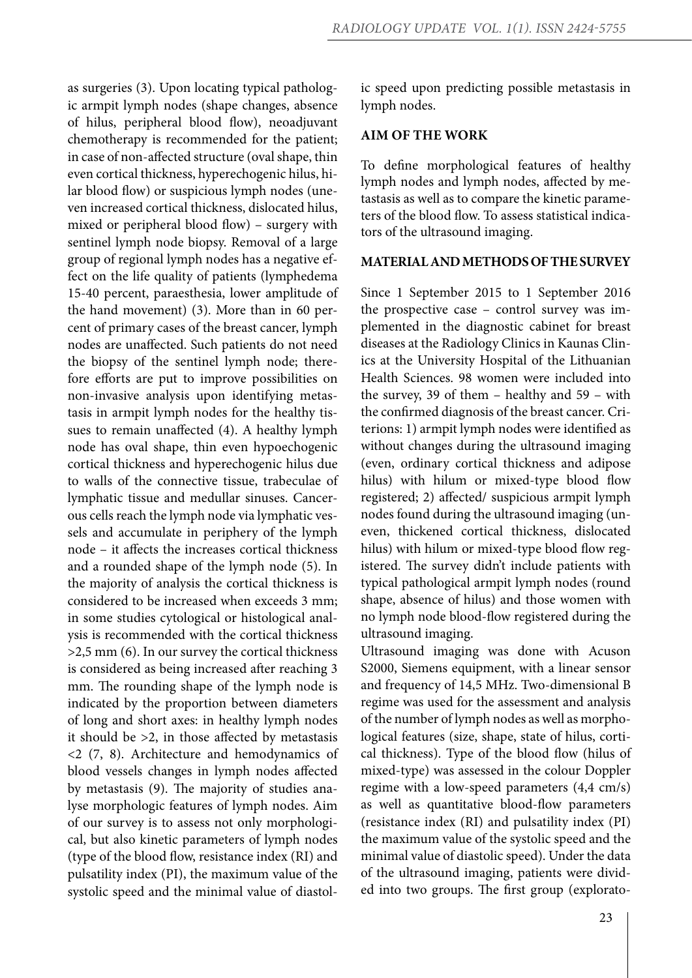as surgeries (3). Upon locating typical pathologic armpit lymph nodes (shape changes, absence of hilus, peripheral blood flow), neoadjuvant chemotherapy is recommended for the patient; in case of non-affected structure (oval shape, thin even cortical thickness, hyperechogenic hilus, hilar blood flow) or suspicious lymph nodes (uneven increased cortical thickness, dislocated hilus, mixed or peripheral blood flow) – surgery with sentinel lymph node biopsy. Removal of a large group of regional lymph nodes has a negative effect on the life quality of patients (lymphedema 15-40 percent, paraesthesia, lower amplitude of the hand movement) (3). More than in 60 percent of primary cases of the breast cancer, lymph nodes are unaffected. Such patients do not need the biopsy of the sentinel lymph node; therefore efforts are put to improve possibilities on non-invasive analysis upon identifying metastasis in armpit lymph nodes for the healthy tissues to remain unaffected (4). A healthy lymph node has oval shape, thin even hypoechogenic cortical thickness and hyperechogenic hilus due to walls of the connective tissue, trabeculae of lymphatic tissue and medullar sinuses. Cancerous cells reach the lymph node via lymphatic vessels and accumulate in periphery of the lymph node – it affects the increases cortical thickness and a rounded shape of the lymph node (5). In the majority of analysis the cortical thickness is considered to be increased when exceeds 3 mm; in some studies cytological or histological analysis is recommended with the cortical thickness >2,5 mm (6). In our survey the cortical thickness is considered as being increased after reaching 3 mm. The rounding shape of the lymph node is indicated by the proportion between diameters of long and short axes: in healthy lymph nodes it should be >2, in those affected by metastasis <2 (7, 8). Architecture and hemodynamics of blood vessels changes in lymph nodes affected by metastasis (9). The majority of studies analyse morphologic features of lymph nodes. Aim of our survey is to assess not only morphological, but also kinetic parameters of lymph nodes (type of the blood flow, resistance index (RI) and pulsatility index (PI), the maximum value of the systolic speed and the minimal value of diastolic speed upon predicting possible metastasis in lymph nodes.

### **AIM OF THE WORK**

To define morphological features of healthy lymph nodes and lymph nodes, affected by metastasis as well as to compare the kinetic parameters of the blood flow. To assess statistical indicators of the ultrasound imaging.

#### **MATERIALAND METHODSOFTHESURVEY**

Since 1 September 2015 to 1 September 2016 the prospective case – control survey was implemented in the diagnostic cabinet for breast diseases at the Radiology Clinics in Kaunas Clinics at the University Hospital of the Lithuanian Health Sciences. 98 women were included into the survey, 39 of them – healthy and 59 – with the confirmed diagnosis of the breast cancer. Criterions: 1) armpit lymph nodes were identified as without changes during the ultrasound imaging (even, ordinary cortical thickness and adipose hilus) with hilum or mixed-type blood flow registered; 2) affected/ suspicious armpit lymph nodes found during the ultrasound imaging (uneven, thickened cortical thickness, dislocated hilus) with hilum or mixed-type blood flow registered. The survey didn't include patients with typical pathological armpit lymph nodes (round shape, absence of hilus) and those women with no lymph node blood-flow registered during the ultrasound imaging.

Ultrasound imaging was done with Acuson S2000, Siemens equipment, with a linear sensor and frequency of 14,5 MHz. Two-dimensional B regime was used for the assessment and analysis of the number of lymph nodes as well as morphological features (size, shape, state of hilus, cortical thickness). Type of the blood flow (hilus of mixed-type) was assessed in the colour Doppler regime with a low-speed parameters (4,4 cm/s) as well as quantitative blood-flow parameters (resistance index (RI) and pulsatility index (PI) the maximum value of the systolic speed and the minimal value of diastolic speed). Under the data of the ultrasound imaging, patients were divided into two groups. The first group (explorato-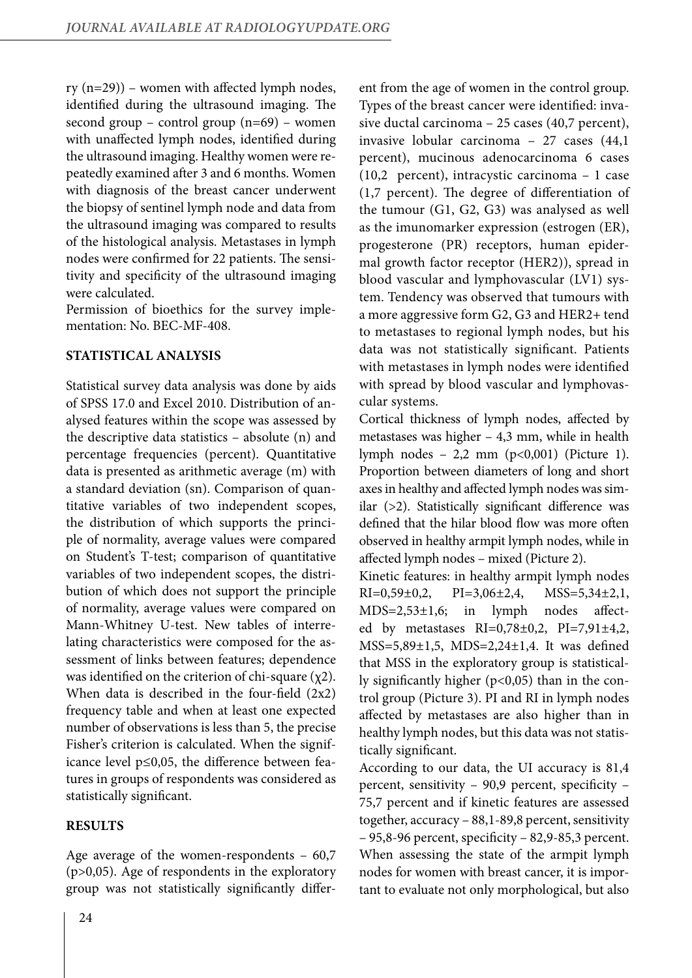$ry (n=29)$  – women with affected lymph nodes, identified during the ultrasound imaging. The second group – control group  $(n=69)$  – women with unaffected lymph nodes, identified during the ultrasound imaging. Healthy women were repeatedly examined after 3 and 6 months. Women with diagnosis of the breast cancer underwent the biopsy of sentinel lymph node and data from the ultrasound imaging was compared to results of the histological analysis. Metastases in lymph nodes were confirmed for 22 patients. The sensitivity and specificity of the ultrasound imaging were calculated.

Permission of bioethics for the survey implementation: No. BEC-MF-408.

## **STATISTICAL ANALYSIS**

Statistical survey data analysis was done by aids of SPSS 17.0 and Excel 2010. Distribution of analysed features within the scope was assessed by the descriptive data statistics – absolute (n) and percentage frequencies (percent). Quantitative data is presented as arithmetic average (m) with a standard deviation (sn). Comparison of quantitative variables of two independent scopes, the distribution of which supports the principle of normality, average values were compared on Student's T-test; comparison of quantitative variables of two independent scopes, the distribution of which does not support the principle of normality, average values were compared on Mann-Whitney U-test. New tables of interrelating characteristics were composed for the assessment of links between features; dependence was identified on the criterion of chi-square  $(\chi 2)$ . When data is described in the four-field (2x2) frequency table and when at least one expected number of observations is less than 5, the precise Fisher's criterion is calculated. When the significance level p≤0,05, the difference between features in groups of respondents was considered as statistically significant.

# **RESULTS**

Age average of the women-respondents – 60,7 (p>0,05). Age of respondents in the exploratory group was not statistically significantly different from the age of women in the control group. Types of the breast cancer were identified: invasive ductal carcinoma – 25 cases (40,7 percent), invasive lobular carcinoma – 27 cases (44,1 percent), mucinous adenocarcinoma 6 cases (10,2 percent), intracystic carcinoma – 1 case (1,7 percent). The degree of differentiation of the tumour (G1, G2, G3) was analysed as well as the imunomarker expression (estrogen (ER), progesterone (PR) receptors, human epidermal growth factor receptor (HER2)), spread in blood vascular and lymphovascular (LV1) system. Tendency was observed that tumours with a more aggressive form G2, G3 and HER2+ tend to metastases to regional lymph nodes, but his data was not statistically significant. Patients with metastases in lymph nodes were identified with spread by blood vascular and lymphovascular systems.

Cortical thickness of lymph nodes, affected by metastases was higher – 4,3 mm, while in health lymph nodes – 2,2 mm (p<0,001) (Picture 1). Proportion between diameters of long and short axes in healthy and affected lymph nodes was similar (>2). Statistically significant difference was defined that the hilar blood flow was more often observed in healthy armpit lymph nodes, while in affected lymph nodes – mixed (Picture 2).

Kinetic features: in healthy armpit lymph nodes  $RI=0,59\pm0,2$ ,  $PI=3,06\pm2,4$ ,  $MSS=5,34\pm2,1$ , MDS=2,53±1,6; in lymph nodes affected by metastases RI=0,78±0,2, PI=7,91±4,2, MSS=5,89±1,5, MDS=2,24±1,4. It was defined that MSS in the exploratory group is statistically significantly higher  $(p<0,05)$  than in the control group (Picture 3). PI and RI in lymph nodes affected by metastases are also higher than in healthy lymph nodes, but this data was not statistically significant.

According to our data, the UI accuracy is 81,4 percent, sensitivity – 90,9 percent, specificity – 75,7 percent and if kinetic features are assessed together, accuracy – 88,1-89,8 percent, sensitivity – 95,8-96 percent, specificity – 82,9-85,3 percent. When assessing the state of the armpit lymph nodes for women with breast cancer, it is important to evaluate not only morphological, but also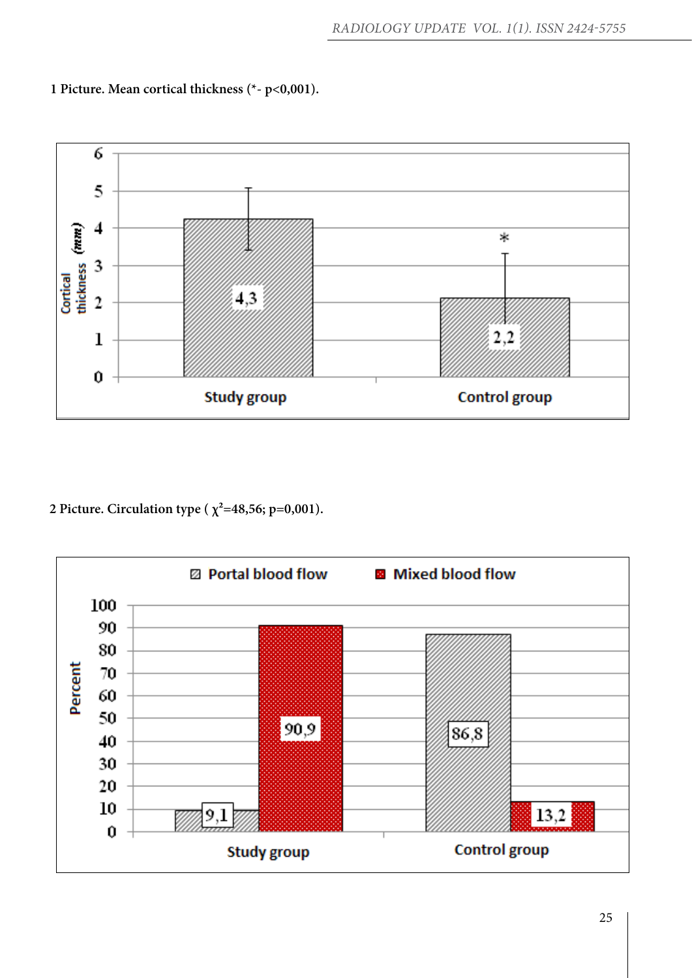

**1 Picture. Mean cortical thickness (\*- p<0,001).**

**2 Picture. Circulation type (** $\chi^2$ =48,56; p=0,001).

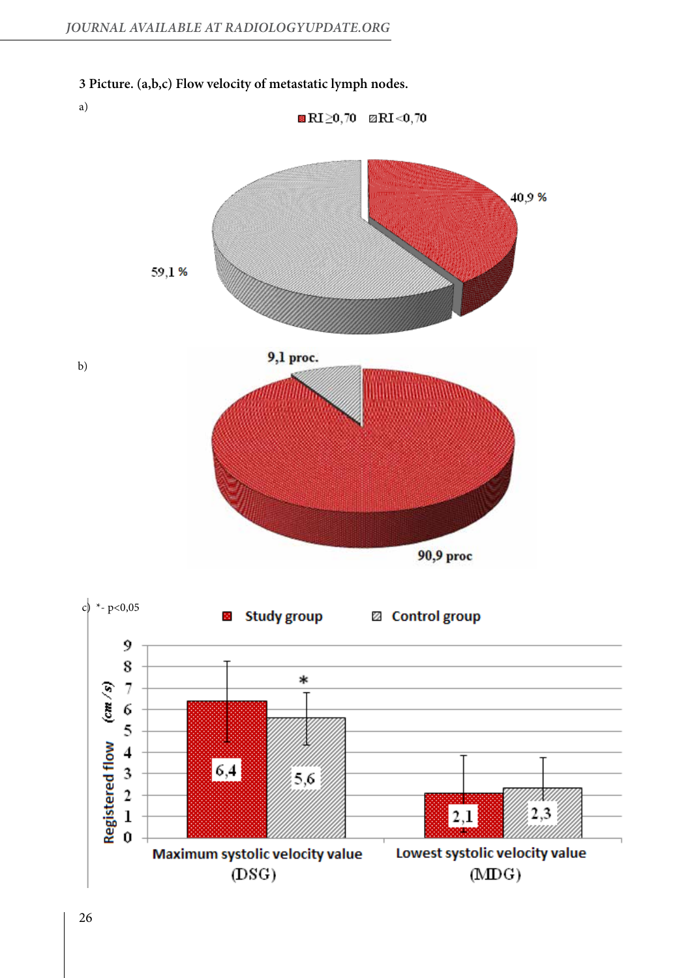



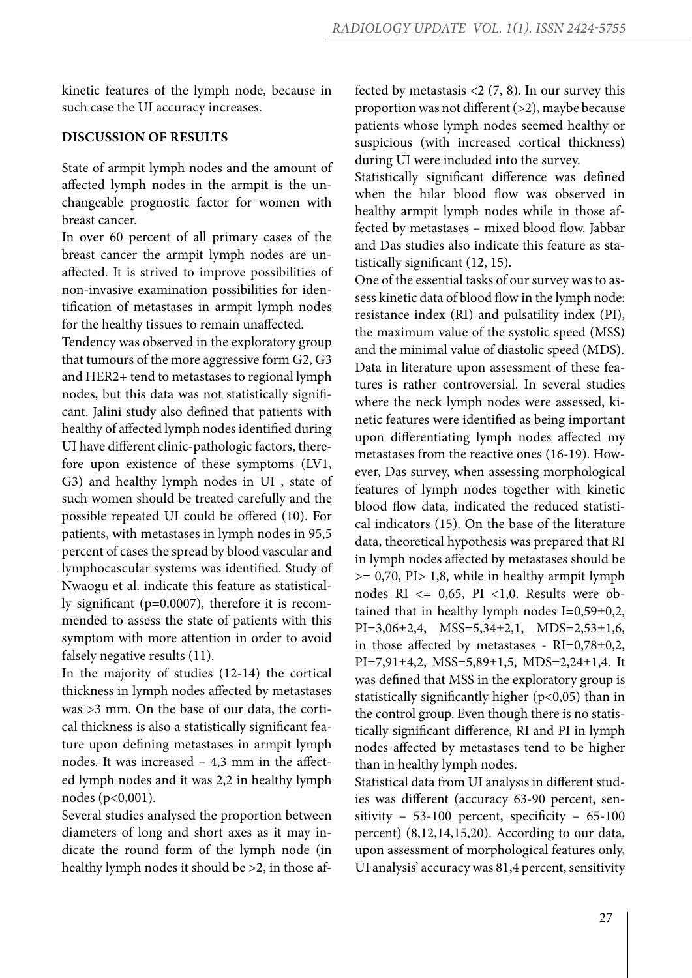kinetic features of the lymph node, because in such case the UI accuracy increases.

#### **DISCUSSION OF RESULTS**

State of armpit lymph nodes and the amount of affected lymph nodes in the armpit is the unchangeable prognostic factor for women with breast cancer.

In over 60 percent of all primary cases of the breast cancer the armpit lymph nodes are unaffected. It is strived to improve possibilities of non-invasive examination possibilities for identification of metastases in armpit lymph nodes for the healthy tissues to remain unaffected.

Tendency was observed in the exploratory group that tumours of the more aggressive form G2, G3 and HER2+ tend to metastases to regional lymph nodes, but this data was not statistically significant. Jalini study also defined that patients with healthy of affected lymph nodes identified during UI have different clinic-pathologic factors, therefore upon existence of these symptoms (LV1, G3) and healthy lymph nodes in UI , state of such women should be treated carefully and the possible repeated UI could be offered (10). For patients, with metastases in lymph nodes in 95,5 percent of cases the spread by blood vascular and lymphocascular systems was identified. Study of Nwaogu et al. indicate this feature as statistically significant (p=0.0007), therefore it is recommended to assess the state of patients with this symptom with more attention in order to avoid falsely negative results (11).

In the majority of studies (12-14) the cortical thickness in lymph nodes affected by metastases was >3 mm. On the base of our data, the cortical thickness is also a statistically significant feature upon defining metastases in armpit lymph nodes. It was increased – 4,3 mm in the affected lymph nodes and it was 2,2 in healthy lymph nodes (p<0,001).

Several studies analysed the proportion between diameters of long and short axes as it may indicate the round form of the lymph node (in healthy lymph nodes it should be >2, in those affected by metastasis  $<$  2 (7, 8). In our survey this proportion was not different (>2), maybe because patients whose lymph nodes seemed healthy or suspicious (with increased cortical thickness) during UI were included into the survey.

Statistically significant difference was defined when the hilar blood flow was observed in healthy armpit lymph nodes while in those affected by metastases – mixed blood flow. Jabbar and Das studies also indicate this feature as statistically significant (12, 15).

One of the essential tasks of our survey was to assess kinetic data of blood flow in the lymph node: resistance index (RI) and pulsatility index (PI), the maximum value of the systolic speed (MSS) and the minimal value of diastolic speed (MDS). Data in literature upon assessment of these features is rather controversial. In several studies where the neck lymph nodes were assessed, kinetic features were identified as being important upon differentiating lymph nodes affected my metastases from the reactive ones (16-19). However, Das survey, when assessing morphological features of lymph nodes together with kinetic blood flow data, indicated the reduced statistical indicators (15). On the base of the literature data, theoretical hypothesis was prepared that RI in lymph nodes affected by metastases should be >= 0,70, PI> 1,8, while in healthy armpit lymph nodes  $RI \le 0.65$ ,  $PI \le 1.0$ . Results were obtained that in healthy lymph nodes I=0,59±0,2, PI=3,06±2,4, MSS=5,34±2,1, MDS=2,53±1,6, in those affected by metastases - RI=0,78±0,2, PI=7,91±4,2, MSS=5,89±1,5, MDS=2,24±1,4. It was defined that MSS in the exploratory group is statistically significantly higher  $(p<0,05)$  than in the control group. Even though there is no statistically significant difference, RI and PI in lymph nodes affected by metastases tend to be higher than in healthy lymph nodes.

Statistical data from UI analysis in different studies was different (accuracy 63-90 percent, sensitivity – 53-100 percent, specificity – 65-100 percent) (8,12,14,15,20). According to our data, upon assessment of morphological features only, UI analysis' accuracy was 81,4 percent, sensitivity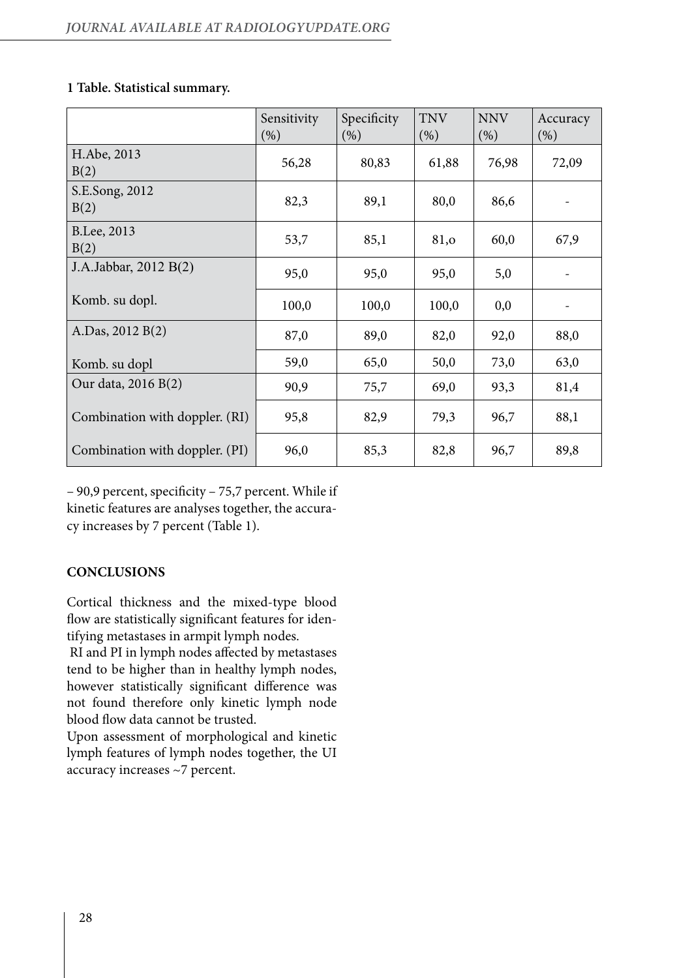| 1 Table. Statistical summary. |
|-------------------------------|
|                               |

|                                | Sensitivity<br>(% ) | Specificity<br>(% ) | <b>TNV</b><br>$(\% )$ | <b>NNV</b><br>(% ) | Accuracy<br>(% ) |
|--------------------------------|---------------------|---------------------|-----------------------|--------------------|------------------|
| H.Abe, 2013<br>B(2)            | 56,28               | 80,83               | 61,88                 | 76,98              | 72,09            |
| S.E.Song, 2012<br>B(2)         | 82,3                | 89,1                | 80,0                  | 86,6               |                  |
| B.Lee, 2013<br>B(2)            | 53,7                | 85,1                | 81,o                  | 60,0               | 67,9             |
| J.A.Jabbar, 2012 B(2)          | 95,0                | 95,0                | 95,0                  | 5,0                |                  |
| Komb. su dopl.                 | 100,0               | 100,0               | 100,0                 | 0,0                |                  |
| A.Das, 2012 B(2)               | 87,0                | 89,0                | 82,0                  | 92,0               | 88,0             |
| Komb. su dopl                  | 59,0                | 65,0                | 50,0                  | 73,0               | 63,0             |
| Our data, 2016 B(2)            | 90,9                | 75,7                | 69,0                  | 93,3               | 81,4             |
| Combination with doppler. (RI) | 95,8                | 82,9                | 79,3                  | 96,7               | 88,1             |
| Combination with doppler. (PI) | 96,0                | 85,3                | 82,8                  | 96,7               | 89,8             |

– 90,9 percent, specificity – 75,7 percent. While if kinetic features are analyses together, the accuracy increases by 7 percent (Table 1).

# **CONCLUSIONS**

Cortical thickness and the mixed-type blood flow are statistically significant features for identifying metastases in armpit lymph nodes.

 RI and PI in lymph nodes affected by metastases tend to be higher than in healthy lymph nodes, however statistically significant difference was not found therefore only kinetic lymph node blood flow data cannot be trusted.

Upon assessment of morphological and kinetic lymph features of lymph nodes together, the UI accuracy increases ~7 percent.